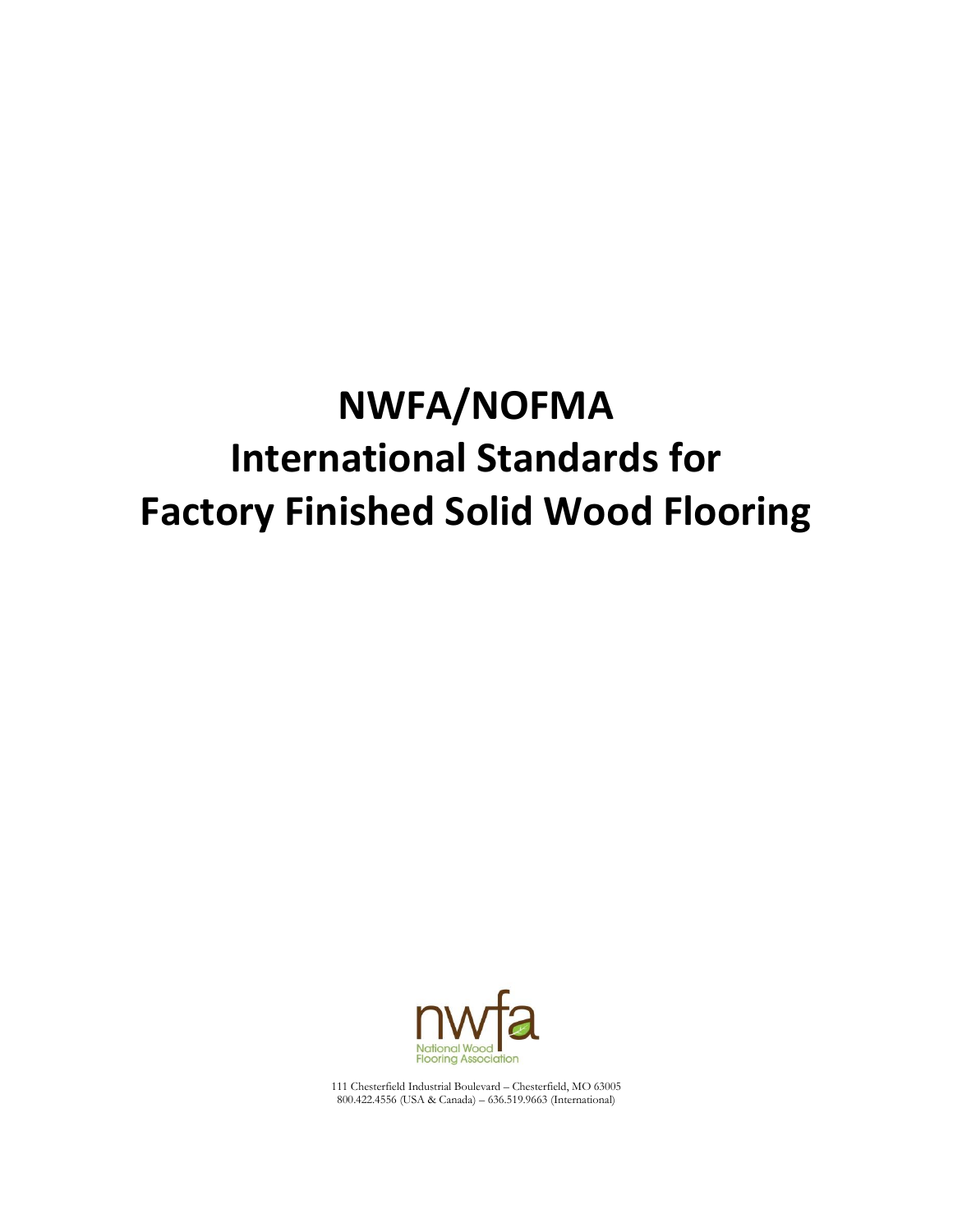# **NWFA/NOFMA International Standards for Factory Finished Solid Wood Flooring**



111 Chesterfield Industrial Boulevard – Chesterfield, MO 63005 800.422.4556 (USA & Canada) – 636.519.9663 (International)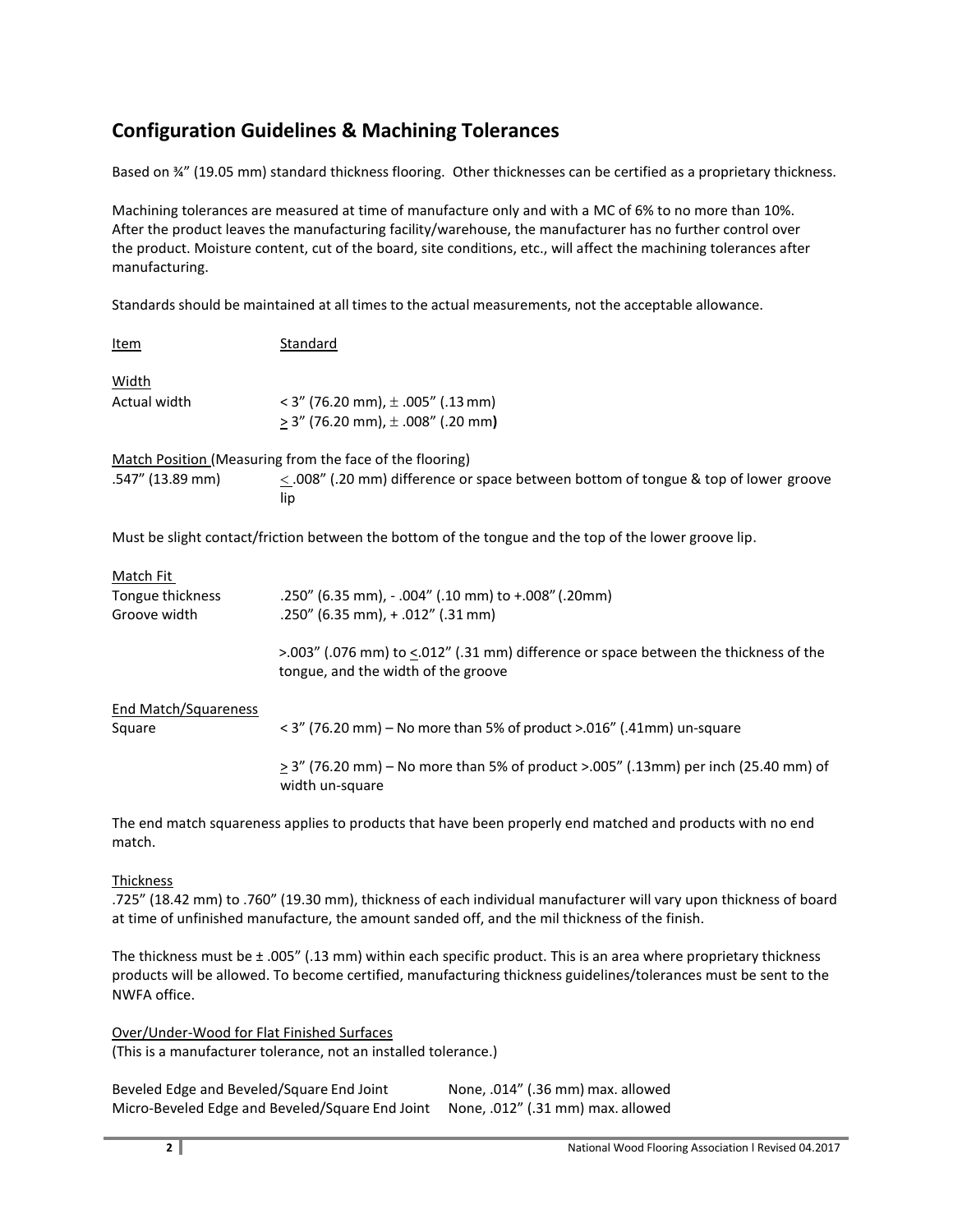# **Configuration Guidelines & Machining Tolerances**

Based on ¾" (19.05 mm) standard thickness flooring. Other thicknesses can be certified as a proprietary thickness.

Machining tolerances are measured at time of manufacture only and with a MC of 6% to no more than 10%. After the product leaves the manufacturing facility/warehouse, the manufacturer has no further control over the product. Moisture content, cut of the board, site conditions, etc., will affect the machining tolerances after manufacturing.

Standards should be maintained at all times to the actual measurements, not the acceptable allowance.

| Item                                                                                                  | Standard                                                                                                                                                                                                                      |  |
|-------------------------------------------------------------------------------------------------------|-------------------------------------------------------------------------------------------------------------------------------------------------------------------------------------------------------------------------------|--|
| Width<br>Actual width                                                                                 | $<$ 3" (76.20 mm), $\pm$ .005" (.13 mm)<br>$\geq$ 3" (76.20 mm), $\pm$ .008" (.20 mm)                                                                                                                                         |  |
| .547" (13.89 mm)                                                                                      | Match Position (Measuring from the face of the flooring)<br>$\leq$ 008" (.20 mm) difference or space between bottom of tongue & top of lower groove<br>lip                                                                    |  |
| Must be slight contact/friction between the bottom of the tongue and the top of the lower groove lip. |                                                                                                                                                                                                                               |  |
| Match Fit<br>Tongue thickness<br>Groove width                                                         | .250" (6.35 mm), - .004" (.10 mm) to +.008" (.20mm)<br>.250" (6.35 mm), + .012" (.31 mm)<br>>.003" (.076 mm) to $\leq$ .012" (.31 mm) difference or space between the thickness of the<br>tongue, and the width of the groove |  |
| End Match/Squareness<br>Square                                                                        | < 3" (76.20 mm) – No more than 5% of product >.016" (.41mm) un-square<br>$\geq$ 3" (76.20 mm) – No more than 5% of product >.005" (.13mm) per inch (25.40 mm) of<br>width un-square                                           |  |

The end match squareness applies to products that have been properly end matched and products with no end match.

#### **Thickness**

.725" (18.42 mm) to .760" (19.30 mm), thickness of each individual manufacturer will vary upon thickness of board at time of unfinished manufacture, the amount sanded off, and the mil thickness of the finish.

The thickness must be ± .005" (.13 mm) within each specific product. This is an area where proprietary thickness products will be allowed. To become certified, manufacturing thickness guidelines/tolerances must be sent to the NWFA office.

Over/Under-Wood for Flat Finished Surfaces (This is a manufacturer tolerance, not an installed tolerance.)

| Beveled Edge and Beveled/Square End Joint       | None, .014" (.36 mm) max. allowed |
|-------------------------------------------------|-----------------------------------|
| Micro-Beveled Edge and Beveled/Square End Joint | None, .012" (.31 mm) max. allowed |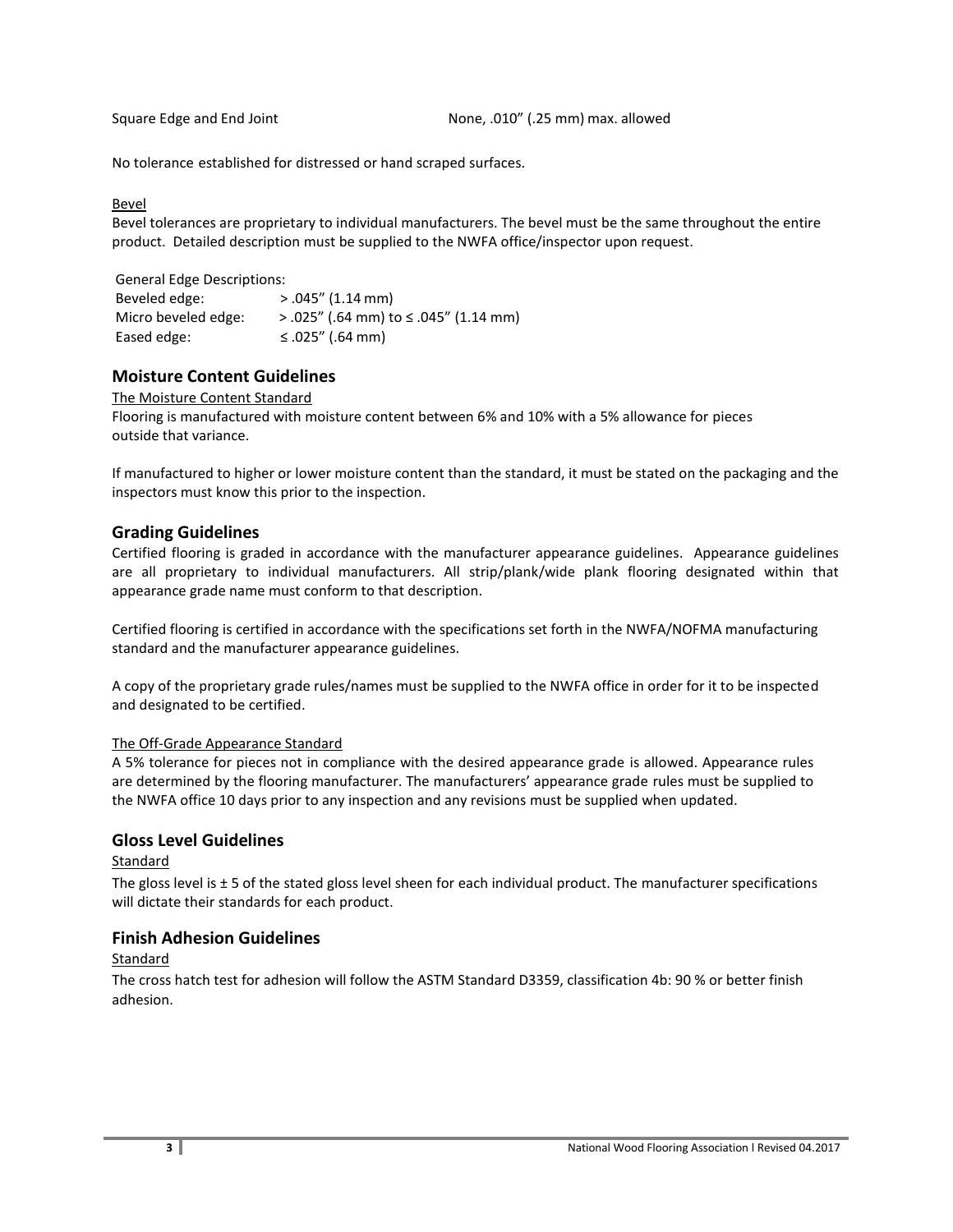Square Edge and End Joint **None, .010''** (.25 mm) max. allowed

No tolerance established for distressed or hand scraped surfaces.

#### Bevel

Bevel tolerances are proprietary to individual manufacturers. The bevel must be the same throughout the entire product. Detailed description must be supplied to the NWFA office/inspector upon request.

General Edge Descriptions: Beveled edge: > .045" (1.14 mm) Micro beveled edge:  $> .025''$  (.64 mm) to ≤ .045" (1.14 mm) Eased edge:  $\leq .025'' (.64 \text{ mm})$ 

## **Moisture Content Guidelines**

#### The Moisture Content Standard

Flooring is manufactured with moisture content between 6% and 10% with a 5% allowance for pieces outside that variance.

If manufactured to higher or lower moisture content than the standard, it must be stated on the packaging and the inspectors must know this prior to the inspection.

#### **Grading Guidelines**

Certified flooring is graded in accordance with the manufacturer appearance guidelines. Appearance guidelines are all proprietary to individual manufacturers. All strip/plank/wide plank flooring designated within that appearance grade name must conform to that description.

Certified flooring is certified in accordance with the specifications set forth in the NWFA/NOFMA manufacturing standard and the manufacturer appearance guidelines.

A copy of the proprietary grade rules/names must be supplied to the NWFA office in order for it to be inspected and designated to be certified.

#### The Off-Grade Appearance Standard

A 5% tolerance for pieces not in compliance with the desired appearance grade is allowed. Appearance rules are determined by the flooring manufacturer. The manufacturers' appearance grade rules must be supplied to the NWFA office 10 days prior to any inspection and any revisions must be supplied when updated.

#### **Gloss Level Guidelines**

Standard

The gloss level is  $\pm 5$  of the stated gloss level sheen for each individual product. The manufacturer specifications will dictate their standards for each product.

#### **Finish Adhesion Guidelines**

Standard

The cross hatch test for adhesion will follow the ASTM Standard D3359, classification 4b: 90 % or better finish adhesion.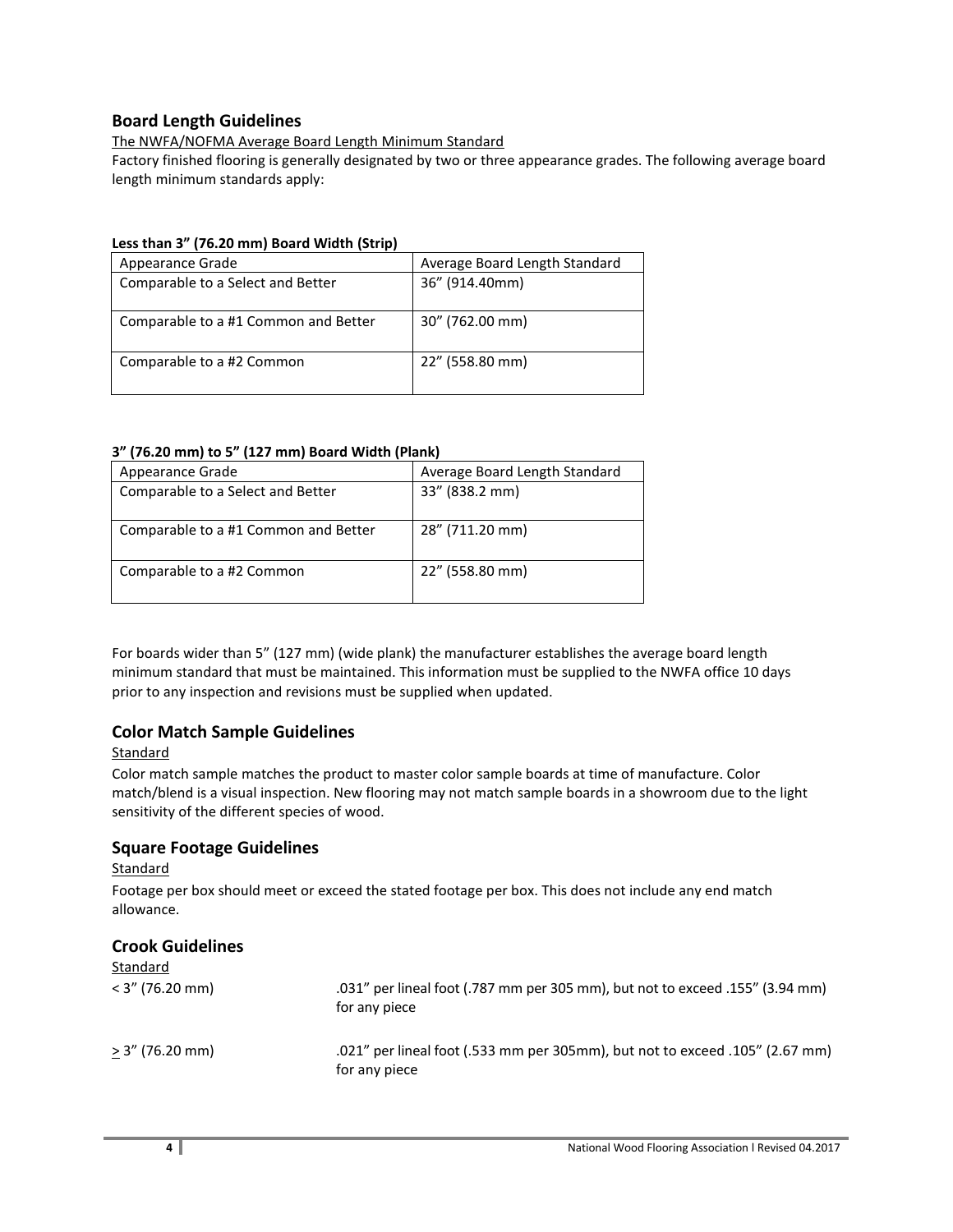## **Board Length Guidelines**

#### The NWFA/NOFMA Average Board Length Minimum Standard

Factory finished flooring is generally designated by two or three appearance grades. The following average board length minimum standards apply:

#### **Less than 3" (76.20 mm) Board Width (Strip)**

| Appearance Grade                     | Average Board Length Standard |
|--------------------------------------|-------------------------------|
| Comparable to a Select and Better    | 36" (914.40mm)                |
|                                      |                               |
| Comparable to a #1 Common and Better | 30" (762.00 mm)               |
| Comparable to a #2 Common            | 22" (558.80 mm)               |

#### **3" (76.20 mm) to 5" (127 mm) Board Width (Plank)**

| Appearance Grade                     | Average Board Length Standard |
|--------------------------------------|-------------------------------|
| Comparable to a Select and Better    | 33" (838.2 mm)                |
|                                      |                               |
| Comparable to a #1 Common and Better | 28" (711.20 mm)               |
| Comparable to a #2 Common            | 22" (558.80 mm)               |

For boards wider than 5" (127 mm) (wide plank) the manufacturer establishes the average board length minimum standard that must be maintained. This information must be supplied to the NWFA office 10 days prior to any inspection and revisions must be supplied when updated.

# **Color Match Sample Guidelines**

#### **Standard**

Color match sample matches the product to master color sample boards at time of manufacture. Color match/blend is a visual inspection. New flooring may not match sample boards in a showroom due to the light sensitivity of the different species of wood.

### **Square Footage Guidelines**

#### **Standard**

Footage per box should meet or exceed the stated footage per box. This does not include any end match allowance.

# **Crook Guidelines**

| Standard          |                                                                                                |
|-------------------|------------------------------------------------------------------------------------------------|
| $<$ 3" (76.20 mm) | .031" per lineal foot (.787 mm per 305 mm), but not to exceed .155" (3.94 mm)<br>for any piece |
| > 3" (76.20 mm)   | .021" per lineal foot (.533 mm per 305mm), but not to exceed .105" (2.67 mm)<br>for any piece  |